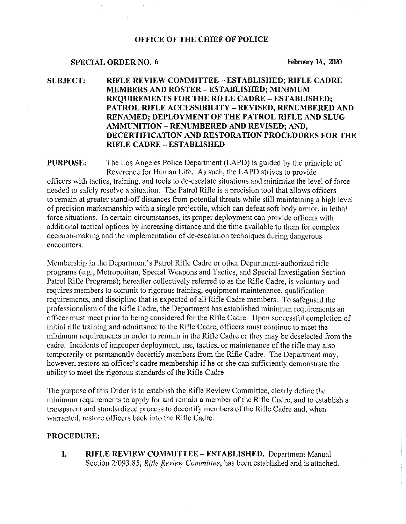### OFFICE OF THE CHIEF OF POLICE

# SPECIAL ORDER NO. 6 February 14, 2020

# SUBJECT: RIFLE REVIEW COMMITTEE —ESTABLISHED; RIFLE CADRE MEMBERS AND ROSTER —ESTABLISHED; MINIMUM REQUIREMENTS FOR THE RIFLE CADRE —ESTABLISHED; PATROL RIFLE ACCESSIBILITY —REVISED, RENUMBERED AND RENAMED; DEPLOYMENT OF THE PATROL RIFLE AND SLUG AMMUNITION —RENUMBERED AND REVISED; AND, DECERTIFICATION AND RESTORATION PROCEDURES FOR THE RIFLE CADRE —ESTABLISHED

PURPOSE: The Los Angeles Police Department (LAPD) is guided by the principle of Reverence for Human Life. As such, the LAPD strives to provide officers with tactics, training, and tools to de-escalate situations and minimize the level of force needed to safely resolve a situation. The Patrol Rifle is a precision tool that allows officers to remain at greater stand-off distances from potential threats while still maintaining a high level of precision marksmanship with a single projectile, which can defeat soft body armor, in lethal force situations. In certain circumstances, its proper deployment can provide officers with additional tactical options by increasing distance and the time available to them for complex decision-making and the implementation of de-escalation techniques during dangerous encounters.

Membership in the Department's Patrol Rifle Cadre or other Department-authorized rifle programs (e.g., Metropolitan, Special Weapons and Tactics, and Special Investigation Section Patrol Rifle Programs); hereafter collectively referred to as the Rifle Cadre, is voluntary and requires members to commit to rigorous training, equipment maintenance, qualification requirements, and discipline that is expected of all Rifle Cadre members. 7'o safeguard the professionalism of the Rifle Cadre, the Department has established minimum requirements an officer must meet prior to being considered for the Rifle Cadre. Upon successful completion of initial rifle training and admittance to the Rifle Cadre, officers must continue to meet the minimum requirements in order to remain in the Rifle Cadre or they may be deselected from the cadre. Incidents of improper deployment, use, tactics, or maintenance of the rifle may also temporarily or permanently decertify members from the Rifle Cadre. The Department may, however, restore an officer's cadre membership if he or she can sufficiently demonstrate the ability to meet the rigorous standards of the Rifle Cadre.

The purpose of this Order is to establish the Rifle Review Committee, clearly define the minimum requirements to apply for and remain a member of the Rifle Cadre, and to establish a transparent and standardized process to decertify members of the Rifle Cadre and, when warranted, restore officers back into the Rifle Cadre.

#### PROCEDURE:

I. RIFLE REVIEW COMMITTEE —ESTABLISHED. Department Manual Section 2/093.85, Rifle Review Committee, has been established and is attached.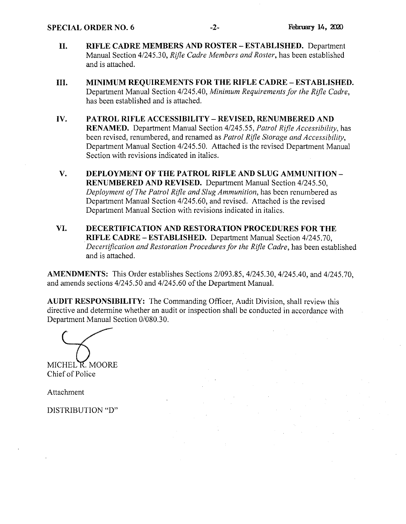- II. RIFLE CADRE MEMBERS AND ROSTER —ESTABLISHED. Department Manual Section 4/245.30, Rifle Cadre Members and Roster, has been established and is attached.
- III. MINIMUM REQUIREMENTS FOR THE RIFLE CADRE —ESTABLISHED. Department Manual Section 4/245.40, Minimum Requirements for the Rifle Cadre, has been established and is attached.
- IV. PATROL RIFLE ACCESSIBILITY —REVISED, RENUMBERED AND RENAMED. Department Manual Section 4/245.55, Patrol Rifle Accessibility, has been revised, renumbered, and renamed as Patrol Rifle Storage and Accessibility, Department Manual Section 4/245.50. Attached is the revised Department Manual Section with revisions indicated in italics.
- V. DEPLOYMENT OF THE PATROL RIFLE AND SLUG AMMUNITION RENUMBERED AND REVISED. Department Manual Section 4/245.50, Deployment of The Patrol Rifle and Slug Ammunition, has been renumbered as Department Manual Section 4/245.60, and revised. Attached is the revised Department Manual Section with revisions indicated in italics.
- VI. DECERTIFICATION AND RESTORATION PROCEDURES FOR THE RIFLE CADRE —ESTABLISHED. Department Manual Section 4/245.70, Decertification and Restoration Procedures for the Rifle Cadre, has been established and is attached.

AMENDMENTS: This Order establishes Sections 2/093.85, 4/24530, 4/245.40, and 4/245.70, and amends sections 4/245.50 and 4/245.60 of the Department Manual.

AUDIT RESPONSIBILITY: The Commanding Officer, Audit Division, shall review this directive and determine whether an audit or inspection shall be conducted in accordance with Department Manual Section 0/080.30.

MICHEL R. MOORE Chief of Police

Attachment

DISTRIBUTION "D"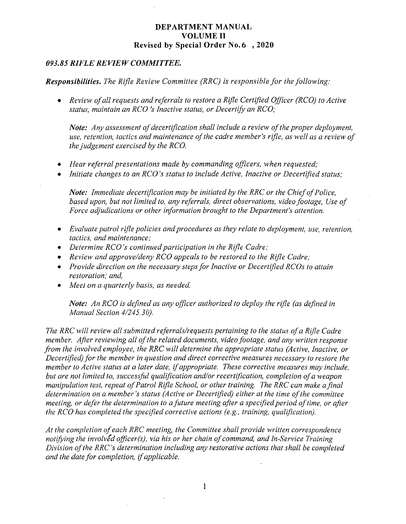### 093.85 RIFLE REVIEW COMMITTEE.

### **Responsibilities.** The Rifle Review Committee (RRC) is responsible for the following:

• Review of all requests and referrals to restore a Rifle Certified Officer (RCO) to Active status, maintain an RCO 's Inactive status, or Decertify an RCO;

Note: Any assessment of decertification shall include a review of the proper deployment, use, retention, tactics and maintenance of the cadre member's rifle, as well as a review of the judgement exercised by the RCO.

- Hear referral presentations made by commanding officers, when requested;
- Initiate changes to an RCO's status to include Active, Inactive or Decertified status;

Note: Immediate decertification may be initiated by the RRC or the Chief of Police, based upon, but not limited to, any referrals, direct observations, video footage, Use of Force adjudications or other information brought to the Department's attention.

- Evaluate patrol rifle policies and procedures as they relate to deployment, use, retention, tactics, and maintenance;
- Determine  $RCO$ 's continued participation in the Rifle Cadre;
- Review and approve/deny RCO appeals to be restored to the Rifle Cadre;
- Provide direction on the necessary steps for Inactive or Decertified RCOs to attain restoration; and,
- Meet on a quarterly basis, as needed.

Note: An RCO is defined as any officer authorized to deploy the rifle (as defined in Manual Section 4/245.30).

The RRC will review all submitted referrals/requests pertaining to the status of a Rifle Cadre member. After reviewing all of the related documents, video footage, and any written response from the involved employee, the RRC will determine the appropriate status (Active, Inactive, or Decertified) for the member in question and direct corrective measures necessary to restore the member to Active status at a later date, if appropriate. These corrective measures may include, but are not limited to, successful qualification and/or recertification, completion of a weapon manipulation test, repeat of Patrol Rifle School, or other training. The RRC can make a final determination on a member's status (Active or Decertified) either at the time of the committee meeting, or defer the determination to a future meeting after a specified period of time, or after the RCO has completed the specified corrective actions (e.g., training, qualification).

At the completion of each RRC meeting, the Committee shall provide written correspondence notifying the involved officer(s), via his or her chain of command, and In-Service Training Division of the XRC's determination including any restorative actions that shall be completed and the date for completion, if applicable.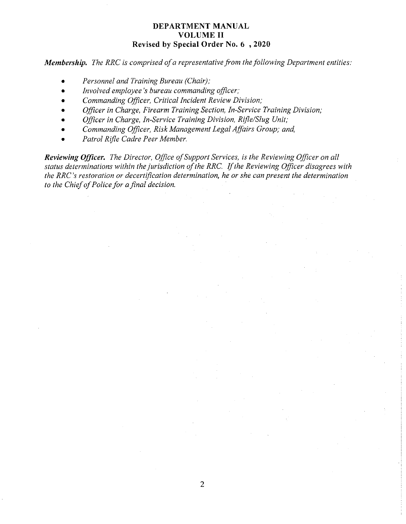Membership. The RRC is comprised of a representative from the following Department entities:

- Personnel and Training Bureau (Chair);
- Involved employee's bureau commanding officer;
- Commanding Officer, Critical Incident Review Division;
- Officer in Charge, Firearm Training Section, In-Service Training Division;
- Officer in Charge, In-Service Training Division, Rifle/Slug Unit;
- Commanding Officer, Risk Management Legal Affairs Group; and,
- Patrol Rifle Cadre Peer Member.

**Reviewing Officer.** The Director, Office of Support Services, is the Reviewing Officer on all status determinations within the jurisdiction of the RRC. If the Reviewing Officer disagrees with the RRC's restoration or decertification determination, he or she can present the determination to the Chief of Police for a final decision.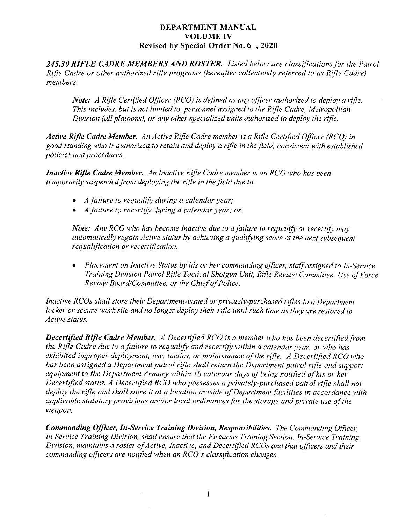245.30 RIFLE CADRE MEMBERS AND ROSTER. Listed below are classifications for the Patrol Rifle Cadre or other authorized rifle programs (hereafter collectively referred to as Rile Cadre) members:

Note: A Rifle Certified Officer (RCO) is defined as any officer authorized to deploy a rifle. This includes, but is not limited to, personnel assigned to the Rifle Cadre, Metropolitan Division (all platoons), or any other specialized units authorized to deploy the rifle.

Active Rifle Cadre Member. An Active Rifle Cadre member is a Rifle Certified Officer (RCO) in good standing who is authorized to retain and deploy a rifle in the field, consistent with established policies and procedures.

Inactive Rifle Cadre Member. An Inactive Rifle Cadre member is an RCO who has been temporarily suspended from deploying the rifle in the field due to:

- A failure to requalify during a calendar year;
- A failure to recertify during a calendar year; or,

Note: Any RCD who has become Inactive due to a failure to requalify or recertify may automatically regain Active status by achieving a qualifying score at the next subseguent requalification or recertification.

• Placement on Inactive Status by his or her commanding officer, staff assigned to In-Service Training Division Patrol Rifle Tactical Shotgun Unit, Rifle Review Committee, Use of Force Review Board/Committee, or the Chief of Police.

Inactive RCOs shall store their Department-issued or privately-purchased rifles in a Department locker or secure work site and no longer deploy their rifle until such time as they are restored to Active status.

Decertified Rifle Cadre Member. A Decertified RCO is a member who has been decertified from the Rifle Cadre due to a failure to requalify and recertify within a calendar year, or who has exhibited improper deployment, use, tactics, or maintenance of the rifle. A Decertified RCO who has been assigned a Department patrol rifle shall return the Department patrol rifle and support equipment to the Department Armory within 10 calendar days of being notified of his or her Decertified status. A Decertified RCO who possesses a privately-purchased patrol rifle shall not deploy the rifle and shall store it at a location outside of Department facilities in accordance with applicable statutory provisions and/or local ordinances for the storage and private use of the weapon.

Commanding Officer, In-Service Training Division, Responsibilities. The Commanding Officer, In-Service Training Division, shall ensure that the Firearms Training Section, In-Service Training Division, maintains a roster of Active, Inactive, and Decertified RCOs and that officers and their commanding officers are notified when an RCO's classification changes.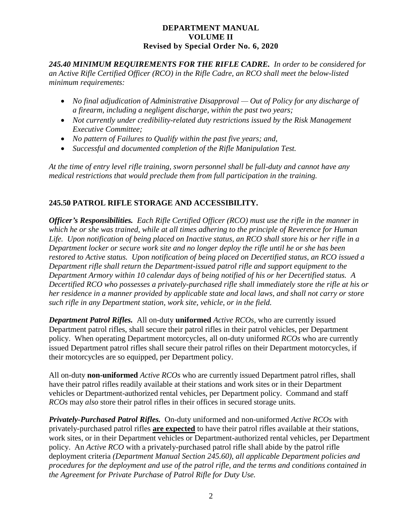*245.40 MINIMUM REQUIREMENTS FOR THE RIFLE CADRE. In order to be considered for an Active Rifle Certified Officer (RCO) in the Rifle Cadre, an RCO shall meet the below-listed minimum requirements:*

- *No final adjudication of Administrative Disapproval — Out of Policy for any discharge of a firearm, including a negligent discharge, within the past two years;*
- *Not currently under credibility-related duty restrictions issued by the Risk Management Executive Committee;*
- *No pattern of Failures to Qualify within the past five years; and,*
- *Successful and documented completion of the Rifle Manipulation Test.*

*At the time of entry level rifle training, sworn personnel shall be full-duty and cannot have any medical restrictions that would preclude them from full participation in the training.*

# **245.50 PATROL RIFLE STORAGE AND ACCESSIBILITY.**

*Officer's Responsibilities. Each Rifle Certified Officer (RCO) must use the rifle in the manner in which he or she was trained, while at all times adhering to the principle of Reverence for Human Life. Upon notification of being placed on Inactive status, an RCO shall store his or her rifle in a Department locker or secure work site and no longer deploy the rifle until he or she has been restored to Active status. Upon notification of being placed on Decertified status, an RCO issued a Department rifle shall return the Department-issued patrol rifle and support equipment to the Department Armory within 10 calendar days of being notified of his or her Decertified status. A Decertified RCO who possesses a privately-purchased rifle shall immediately store the rifle at his or her residence in a manner provided by applicable state and local laws, and shall not carry or store such rifle in any Department station, work site, vehicle, or in the field.*

*Department Patrol Rifles.* All on-duty **uniformed** *Active RCOs,* who are currently issued Department patrol rifles, shall secure their patrol rifles in their patrol vehicles, per Department policy. When operating Department motorcycles, all on-duty uniformed *RCOs* who are currently issued Department patrol rifles shall secure their patrol rifles on their Department motorcycles, if their motorcycles are so equipped, per Department policy.

All on-duty **non-uniformed** *Active RCOs* who are currently issued Department patrol rifles, shall have their patrol rifles readily available at their stations and work sites or in their Department vehicles or Department-authorized rental vehicles, per Department policy. Command and staff *RCOs* may *also* store their patrol rifles in their offices in secured storage units.

*Privately-Purchased Patrol Rifles.* On-duty uniformed and non-uniformed *Active RCOs* with privately-purchased patrol rifles **are expected** to have their patrol rifles available at their stations, work sites, or in their Department vehicles or Department-authorized rental vehicles, per Department policy. An *Active RCO* with a privately-purchased patrol rifle shall abide by the patrol rifle deployment criteria *(Department Manual Section 245.60), all applicable Department policies and procedures for the deployment and use of the patrol rifle, and the terms and conditions contained in the Agreement for Private Purchase of Patrol Rifle for Duty Use.*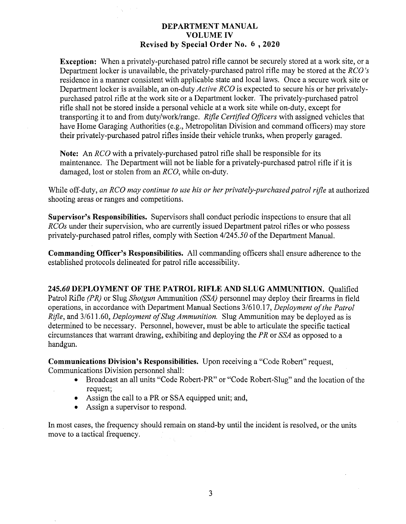**Exception:** When a privately-purchased patrol rifle cannot be securely stored at a work site, or a Department locker is unavailable, the privately-purchased patrol rifle may be stored at the RCO's residence in a manner consistent with applicable state and local laws. Once a secure work site or Department locker is available, an on-duty *Active RCO* is expected to secure his or her privatelypurchased patrol rifle at the work site or a Department locker. The privately-purchased patrol rifle shall not be stored inside a personal vehicle at a work site while on-duty, except for transporting it to and from duty/work/range. Rifle Certified Officers with assigned vehicles that have Home Garaging Authorities (e.g., Metropolitan Division and command officers) may store their privately-purchased patrol rifles inside their vehicle trunks, when properly garaged.

Note: An *RCO* with a privately-purchased patrol rifle shall be responsible for its maintenance. The Department will not be liable for a privately-purchased patrol rifle if it is damaged, lost or stolen from an RCO, while on-duty.

While off-duty, an RCO may continue to use his or her privately-purchased patrol rifle at authorized shooting areas or ranges and competitions.

Supervisor's Responsibilities. Supervisors shall conduct periodic inspections to ensure that all RCOs under their supervision, who are currently issued Department patrol rifles or who possess privately-purchased patrol rifles, comply with Section 4/245.50 of the Department Manual.

Commanding Officer's Responsibilities. All commanding officers shall ensure adherence to the established protocols delineated for patrol rifle accessibility.

245.60 DEPLOYMENT OF THE PATROL RIFLE AND SLUG AMMUNITION. Qualified Patrol Rifle (PR) or Slug Shotgun Ammunition (SSA) personnel may deploy their firearms in field operations, in accordance with Department Manual Sections 3/610.17, Deployment of the Patrol Rifle, and 3/611.60, Deployment of Slug Ammunition. Slug Ammunition may be deployed as is determined to be necessary. Personnel, however, must be able to articulate the specific tactical circumstances that warrant drawing, exhibiting and deploying the  $PR$  or  $SSA$  as opposed to a handgun.

Communications Division's Responsibilities. Upon receiving a "Code Robert" request, Communications Division personnel shall:

- Broadcast an all units "Code Robert-PR" or "Code Robert-Slug" and the location of the request;
- Assign the call to a PR or SSA equipped unit; and,
- Assign a supervisor to respond.

Inmost cases, the frequency should remain on stand-by until the incident is resolved, or the units move to a tactical frequency.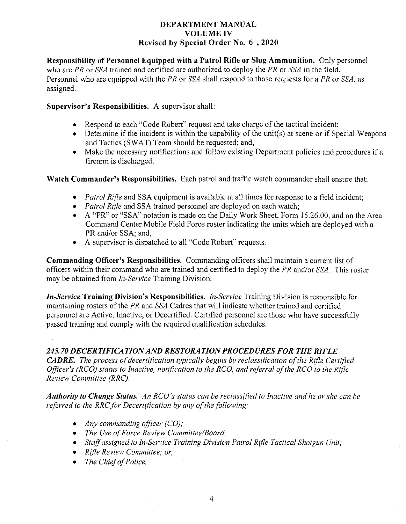Responsibility of Personnel Equipped with a Patrol Rifle or Slug Ammunition. Only personnel who are PR or  $SSA$  trained and certified are authorized to deploy the PR or  $SSA$  in the field. Personnel who are equipped with the PR or SSA shall respond to those requests for a PR or SSA, as assigned.

## Supervisor's Responsibilities. A supervisor shall:

- Respond to each "Code Robert" request and take charge of the tactical incident;
- $\bullet$  Determine if the incident is within the capability of the unit(s) at scene or if Special Weapons and Tactics (SWAT) Team should be requested; and,
- Make the necessary notifications and follow existing Department policies and procedures if a firearm is discharged.

Watch Commander's Responsibilities. Each patrol and traffic watch commander shall ensure that:

- *Patrol Rifle* and SSA equipment is available at all times for response to a field incident;
- *Patrol Rifle* and SSA trained personnel are deployed on each watch;
- A "PR" or "SSA" notation is made on the Daily Work Sheet, Form 15.26.00, and on the Area Command Center Mobile Field Force roster indicating the units which are deployed with a PR and/or SSA; and,
- A supervisor is dispatched to all "Code Robert" requests.

Commanding Officer's Responsibilities. Commanding officers shall maintain a current list of officers within their command who are trained and certified to deploy the PR and/or SSA. This roster may be obtained from *In-Service* Training Division.

In-Service Training Division's Responsibilities. In-Service Training Division is responsible for maintaining rosters of the PR and SSA Cadres that will indicate whether trained and certified personnel are Active, Inactive, or Decertified. Certified personnel are those who have successfully passed training and comply with the required qualification schedules.

# 245.70 DECERTIFICATIONAND RESTORATION PROCEDURES FOR THE RIFLE

**CADRE.** The process of decertification typically begins by reclassification of the Rifle Certified Officer's (RCO) status to Inactive, notification to the RCO, and referral of the RCO to the Rifle Review Committee (RRC).

Authority to Change Status. An RCO's status can be reclassified to Inactive and he or she can be referred to the RRC for Decertification by any of the following:

- Any commanding officer  $(CO)$ ;
- The Use of Force Review Committee/Board;
- Staff assigned to In-Service Training Division Patrol Rifle Tactical Shotgun Unit;
- Rifle Review Committee; or,
- The Chief of Police.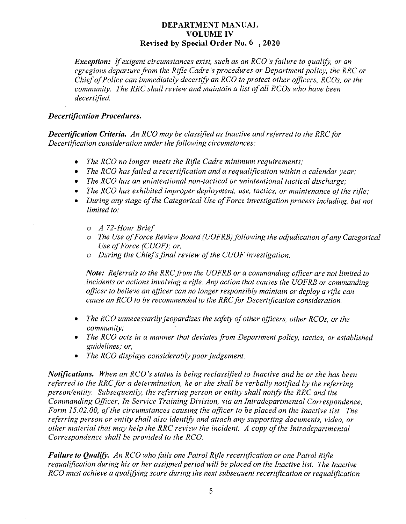Exception: If exigent circumstances exist, such as an RCO's failure to qualify, or an egregious departure from the Rifle Cadre's procedures or Department policy, the RRC or Chief of Police can immediately decertify an RCO to protect other officers, RCOs, or the community. The RRC shall review and maintain a list of all RCOs who have been decertified.

### Decertification Procedures.

Decertification Criteria. An RCO may be classified as Inactive and referred to the RRC for Decertification consideration under the following circumstances:

- The RCO no longer meets the Rifle Cadre minimum requirements;
- The RCO has failed a recertification and a requalification within a calendar year;
- The RCO has an unintentional non-tactical or unintentional tactical discharge;
- The RCO has exhibited improper deployment, use, tactics, or maintenance of the rifle;
- During any stage of the Categorical Use of Force investigation process including, but not limited to:
	- o A 72-Hour Brief
	- o The Use of Force Review Board (UOFRB) following the adjudication of any Categorical Use of Force (CUOF); or,
	- $o$  During the Chief's final review of the CUOF investigation.

Note: Referrals to the RRC from the UOFRB or a commanding officer are not limited to incidents or actions involving a rifle. Any action that causes the UOFRB or commanding officer to believe an officer can no longer responsibly maintain or deploy a rifle can cause an RCO to be recommended to the RRC for Decertification consideration.

- The RCO unnecessarily jeopardizes the safety of other officers, other RCOs, or the community;
- The RCO acts in a manner that deviates from Department policy, tactics, or established guidelines; or,
- The RCO displays considerably poor judgement.

Notifications. When an RCO's status is being reclassified to Inactive and he or she has been referred to the RRC for a determination, he or she shall be verbally notified by the referring person/entity. Subsequently, the referring person or entity shall notify the RRC and the Commanding Officer, In-Service Training Division, via an Intradepartmental Correspondence, Form 15.02.00, of the circumstances causing the officer to be placed on the Inactive list. The referring person or entity shall also identify and attach any supporting documents, video, or other material that may help the RRC review the incident. A copy of the Intradepartmental Correspondence shall be provided to the RCO.

Failure to Qualify. An RCO who fails one Patrol Rifle recertification or one Patrol Rifle requalification during his or her assigned period will be placed on the Inactive list. The Inactive RCO must achieve a qualifying score during the next subsequent recertification or requalification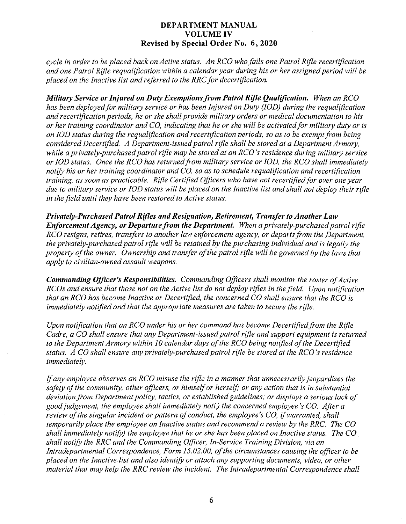cycle in order to be placed back on Active status. An RCO who fails one Patrol Rifle recertification and one Patrol Rifle requalification within a calendar year during his or her assigned period will be placed on the Inactive list and referred to the RRC for decertification.

Military Service or Injured on Duty Exemptions from Patrol Rifle Qualification. When an RCO has been deployed for military service or has been Injured on Duty (IOD) during the requalification and recertification periods, he or she shall provide military orders or medical documentation to his or her training coordinator and CO, indicating that he or she will be activated for military duty or is on IOD status during the requalification and recertification periods, so as to be exempt from being considered Decertified. A Department-issued patrol rifle shall be stored at a Department Armory, while a privately-purchased patrol rifle may be stored at an RCO's residence during military service or IOD status. Once the RCO has returned from military service or IOD, the RCO shall immediately notify his or her training coordinator and  $CO$ , so as to schedule requalification and recertification training, as soon as practicable. Rifle Certified Officers who have not recertified for over one year due to military service or IOD status will be placed on the Inactive list and shall not deploy their rifle in the field until they have been restored to Active status.

Privately-Purchased Patrol Rifles and Resignation, Retirement, Transfer to Another Law **Enforcement Agency, or Departure from the Department.** When a privately-purchased patrol rifle RCO resigns, retires, transfers to another law enforcement agency, or departs from the Department, the privately-purchased patrol rifle will be retained by the purchasing individual and is legally the property of the owner. Ownership and transfer of the patrol rifle will be governed by the laws that apply to civilian-owned assault weapons.

Commanding Officer's Responsibilities. Commanding Officers shall monitor the roster of Active RCOs and ensure that those not on the Active list do not deploy rifles in the field. Upon notification that an RCO has become Inactive or Decertified, the concerned CO shall ensure that the RCO is immediately notified and that the appropriate measures are taken to secure the rifle.

Upon notification that an RCO under his or her command has become Decertified from the Rifle Cadre, a CO shall ensure that any Department-issued patrol rifle and support equipment is returned to the Department Armory within 10 calendar days of the RCO being notified of the Decertified status. A CO shall ensure any privately-purchased patrol rifle be stored at the RCO's residence immediately.

If any employee observes an RCO misuse the rifle in a manner that unnecessarily jeopardizes the safety of the community, other officers, or himself or herself, or any action that is in substantial deviation from Department policy, tactics, or established guidelines; or displays a serious lack of good judgement, the employee shall immediately noti.) the concerned employee's CO. After a review of the singular incident or pattern of conduct, the employee's CO, if warranted, shall temporarily place the employee on Inactive status and recommend a review by the RRC. The CO shall immediately notify) the employee that he or she has been placed on Inactive status. The CO shall notify the RRC and the Commanding Officer, In-Service Training Division, via an Intradepartmental Correspondence, Form 15.02.00, of the circumstances causing the officer to be placed on the Inactive list and also identify or attach any supporting documents, video, or other material that may help the RRC review the incident. The Intradepartmental Correspondence shall